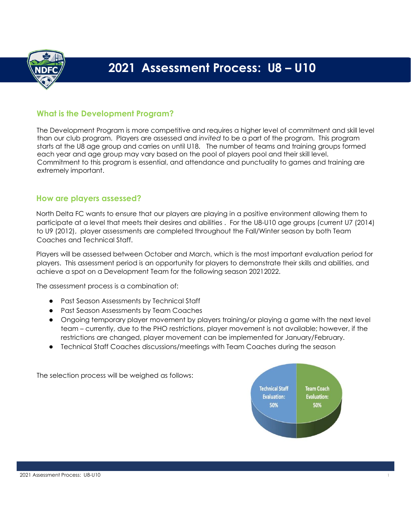

# **2021 Assessment Process: U8 – U10**

## **What is the Development Program?**

The Development Program is more competitive and requires a higher level of commitment and skill level than our club program. Players are assessed and *invited* to be a part of the program. This program starts at the U8 age group and carries on until U18. The number of teams and training groups formed each year and age group may vary based on the pool of players pool and their skill level. Commitment to this program is essential, and attendance and punctuality to games and training are extremely important.

#### **How are players assessed?**

North Delta FC wants to ensure that our players are playing in a positive environment allowing them to participate at a level that meets their desires and abilities . For the U8-U10 age groups (current U7 (2014) to U9 (2012), player assessments are completed throughout the Fall/Winter season by both Team Coaches and Technical Staff.

Players will be assessed between October and March, which is the most important evaluation period for players. This assessment period is an opportunity for players to demonstrate their skills and abilities, and achieve a spot on a Development Team for the following season 20212022.

The assessment process is a combination of:

- Past Season Assessments by Technical Staff
- Past Season Assessments by Team Coaches
- Ongoing temporary player movement by players training/or playing a game with the next level team – currently, due to the PHO restrictions, player movement is not available; however, if the restrictions are changed, player movement can be implemented for January/February.
- Technical Staff Coaches discussions/meetings with Team Coaches during the season

The selection process will be weighed as follows:

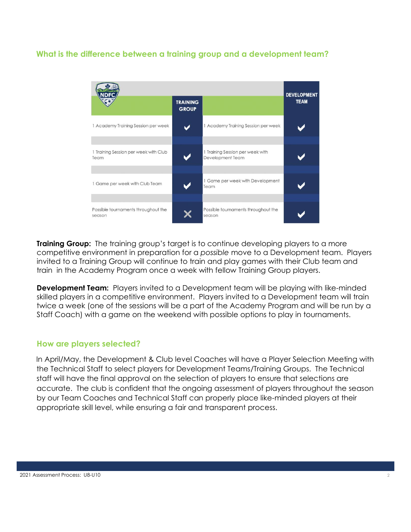## **What is the difference between a training group and a development team?**



**Training Group:** The training group's target is to continue developing players to a more competitive environment in preparation for a *possible* move to a Development team. Players invited to a Training Group will continue to train and play games with their Club team and train in the Academy Program once a week with fellow Training Group players.

**Development Team:** Players invited to a Development team will be playing with like-minded skilled players in a competitive environment. Players invited to a Development team will train twice a week (one of the sessions will be a part of the Academy Program and will be run by a Staff Coach) with a game on the weekend with possible options to play in tournaments.

#### **How are players selected?**

In April/May, the Development & Club level Coaches will have a Player Selection Meeting with the Technical Staff to select players for Development Teams/Training Groups. The Technical staff will have the final approval on the selection of players to ensure that selections are accurate. The club is confident that the ongoing assessment of players throughout the season by our Team Coaches and Technical Staff can properly place like-minded players at their appropriate skill level, while ensuring a fair and transparent process.